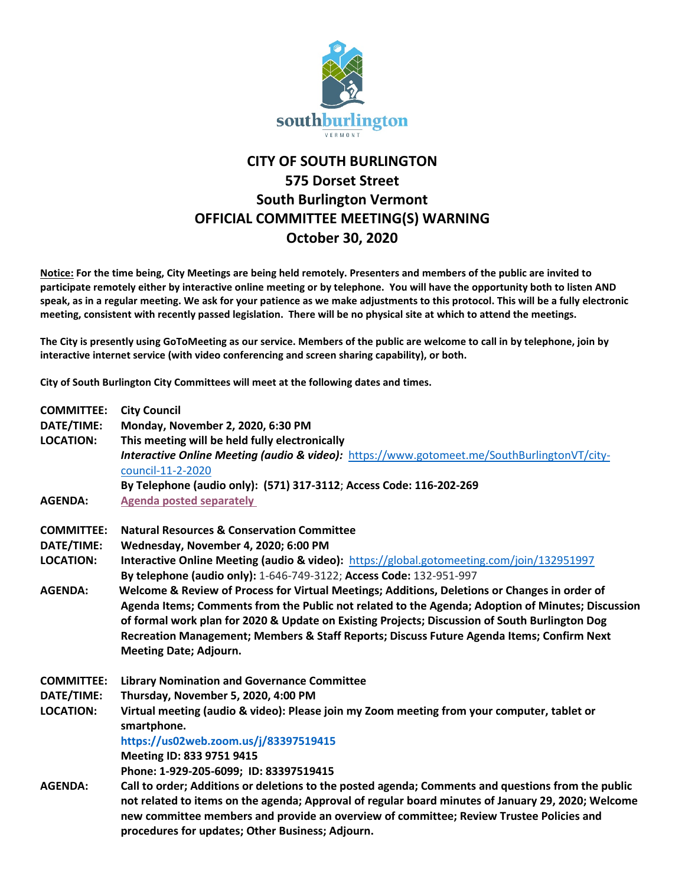

## **CITY OF SOUTH BURLINGTON 575 Dorset Street South Burlington Vermont OFFICIAL COMMITTEE MEETING(S) WARNING October 30, 2020**

**Notice: For the time being, City Meetings are being held remotely. Presenters and members of the public are invited to participate remotely either by interactive online meeting or by telephone. You will have the opportunity both to listen AND speak, as in a regular meeting. We ask for your patience as we make adjustments to this protocol. This will be a fully electronic meeting, consistent with recently passed legislation. There will be no physical site at which to attend the meetings.** 

**The City is presently using GoToMeeting as our service. Members of the public are welcome to call in by telephone, join by interactive internet service (with video conferencing and screen sharing capability), or both.**

**City of South Burlington City Committees will meet at the following dates and times.** 

| <b>COMMITTEE:</b> | <b>City Council</b>                                                                                                                                                                                                                                                                                 |
|-------------------|-----------------------------------------------------------------------------------------------------------------------------------------------------------------------------------------------------------------------------------------------------------------------------------------------------|
| DATE/TIME:        | Monday, November 2, 2020, 6:30 PM                                                                                                                                                                                                                                                                   |
| <b>LOCATION:</b>  | This meeting will be held fully electronically                                                                                                                                                                                                                                                      |
|                   | <b>Interactive Online Meeting (audio &amp; video):</b> https://www.gotomeet.me/SouthBurlingtonVT/city-                                                                                                                                                                                              |
|                   | council-11-2-2020                                                                                                                                                                                                                                                                                   |
|                   | By Telephone (audio only): (571) 317-3112; Access Code: 116-202-269                                                                                                                                                                                                                                 |
| <b>AGENDA:</b>    | <b>Agenda posted separately</b>                                                                                                                                                                                                                                                                     |
| <b>COMMITTEE:</b> | <b>Natural Resources &amp; Conservation Committee</b>                                                                                                                                                                                                                                               |
| DATE/TIME:        | Wednesday, November 4, 2020; 6:00 PM                                                                                                                                                                                                                                                                |
| <b>LOCATION:</b>  | Interactive Online Meeting (audio & video): https://global.gotomeeting.com/join/132951997                                                                                                                                                                                                           |
|                   | By telephone (audio only): 1-646-749-3122; Access Code: 132-951-997                                                                                                                                                                                                                                 |
| <b>AGENDA:</b>    | Welcome & Review of Process for Virtual Meetings; Additions, Deletions or Changes in order of                                                                                                                                                                                                       |
|                   | Agenda Items; Comments from the Public not related to the Agenda; Adoption of Minutes; Discussion                                                                                                                                                                                                   |
|                   | of formal work plan for 2020 & Update on Existing Projects; Discussion of South Burlington Dog                                                                                                                                                                                                      |
|                   | Recreation Management; Members & Staff Reports; Discuss Future Agenda Items; Confirm Next                                                                                                                                                                                                           |
|                   | <b>Meeting Date; Adjourn.</b>                                                                                                                                                                                                                                                                       |
| <b>COMMITTEE:</b> | <b>Library Nomination and Governance Committee</b>                                                                                                                                                                                                                                                  |
| DATE/TIME:        | Thursday, November 5, 2020, 4:00 PM                                                                                                                                                                                                                                                                 |
| <b>LOCATION:</b>  | Virtual meeting (audio & video): Please join my Zoom meeting from your computer, tablet or<br>smartphone.                                                                                                                                                                                           |
|                   | https://us02web.zoom.us/j/83397519415                                                                                                                                                                                                                                                               |
|                   | Meeting ID: 833 9751 9415                                                                                                                                                                                                                                                                           |
|                   | Phone: 1-929-205-6099; ID: 83397519415                                                                                                                                                                                                                                                              |
| <b>AGENDA:</b>    | Call to order; Additions or deletions to the posted agenda; Comments and questions from the public<br>not related to items on the agenda; Approval of regular board minutes of January 29, 2020; Welcome<br>new committee members and provide an overview of committee; Review Trustee Policies and |
|                   | procedures for updates; Other Business; Adjourn.                                                                                                                                                                                                                                                    |